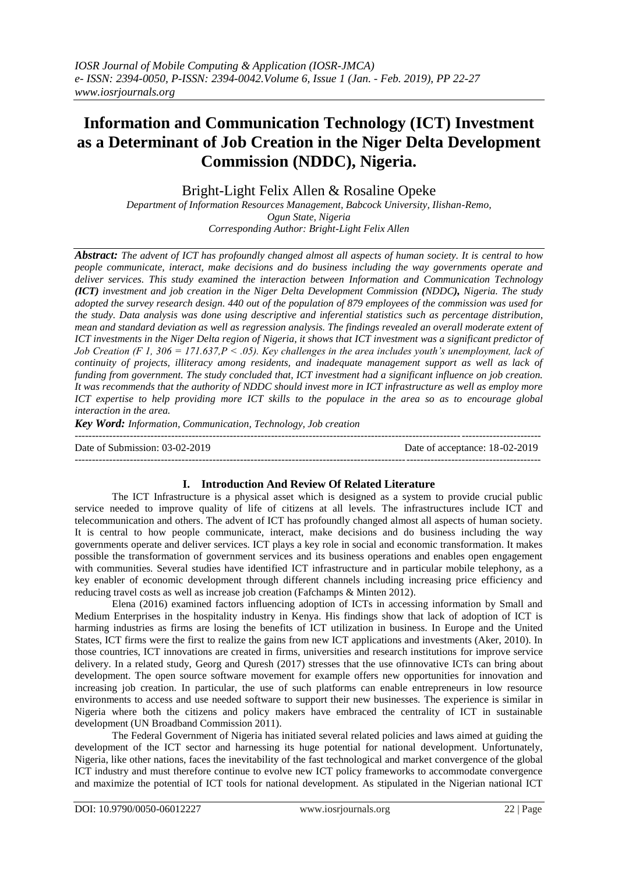# **Information and Communication Technology (ICT) Investment as a Determinant of Job Creation in the Niger Delta Development Commission (NDDC), Nigeria.**

Bright-Light Felix Allen & Rosaline Opeke

*Department of Information Resources Management, Babcock University, Ilishan-Remo, Ogun State, Nigeria Corresponding Author: Bright-Light Felix Allen*

*Abstract: The advent of ICT has profoundly changed almost all aspects of human society. It is central to how people communicate, interact, make decisions and do business including the way governments operate and deliver services. This study examined the interaction between Information and Communication Technology (ICT) investment and job creation in the Niger Delta Development Commission (NDDC), Nigeria. The study adopted the survey research design. 440 out of the population of 879 employees of the commission was used for the study. Data analysis was done using descriptive and inferential statistics such as percentage distribution, mean and standard deviation as well as regression analysis. The findings revealed an overall moderate extent of ICT investments in the Niger Delta region of Nigeria, it shows that ICT investment was a significant predictor of Job Creation (F 1, 306 = 171.637,P < .05). Key challenges in the area includes youth's unemployment, lack of continuity of projects, illiteracy among residents, and inadequate management support as well as lack of funding from government. The study concluded that, ICT investment had a significant influence on job creation. It was recommends that the authority of NDDC should invest more in ICT infrastructure as well as employ more ICT expertise to help providing more ICT skills to the populace in the area so as to encourage global interaction in the area.* 

*Key Word: Information, Communication, Technology, Job creation*

 $-1.1$ 

Date of Submission: 03-02-2019 Date of acceptance: 18-02-2019

# **I. Introduction And Review Of Related Literature**

---------------------------------------------------------------------------------------------------------------------------------------

The ICT Infrastructure is a physical asset which is designed as a system to provide crucial public service needed to improve quality of life of citizens at all levels. The infrastructures include ICT and telecommunication and others. The advent of ICT has profoundly changed almost all aspects of human society. It is central to how people communicate, interact, make decisions and do business including the way governments operate and deliver services. ICT plays a key role in social and economic transformation. It makes possible the transformation of government services and its business operations and enables open engagement with communities. Several studies have identified ICT infrastructure and in particular mobile telephony, as a key enabler of economic development through different channels including increasing price efficiency and reducing travel costs as well as increase job creation (Fafchamps & Minten 2012).

Elena (2016) examined factors influencing adoption of ICTs in accessing information by Small and Medium Enterprises in the hospitality industry in Kenya. His findings show that lack of adoption of ICT is harming industries as firms are losing the benefits of ICT utilization in business. In Europe and the United States, ICT firms were the first to realize the gains from new ICT applications and investments (Aker, 2010). In those countries, ICT innovations are created in firms, universities and research institutions for improve service delivery. In a related study, Georg and [Quresh](http://aisel.aisnet.org/do/search/?q=author_lname%3A%22Qureshi%22%20author_fname%3A%22Sajda%22&start=0&context=509156) (2017) stresses that the use ofinnovative ICTs can bring about development. The open source software movement for example offers new opportunities for innovation and increasing job creation. In particular, the use of such platforms can enable entrepreneurs in low resource environments to access and use needed software to support their new businesses. The experience is similar in Nigeria where both the citizens and policy makers have embraced the centrality of ICT in sustainable development (UN Broadband Commission 2011).

The Federal Government of Nigeria has initiated several related policies and laws aimed at guiding the development of the ICT sector and harnessing its huge potential for national development. Unfortunately, Nigeria, like other nations, faces the inevitability of the fast technological and market convergence of the global ICT industry and must therefore continue to evolve new ICT policy frameworks to accommodate convergence and maximize the potential of ICT tools for national development. As stipulated in the Nigerian national ICT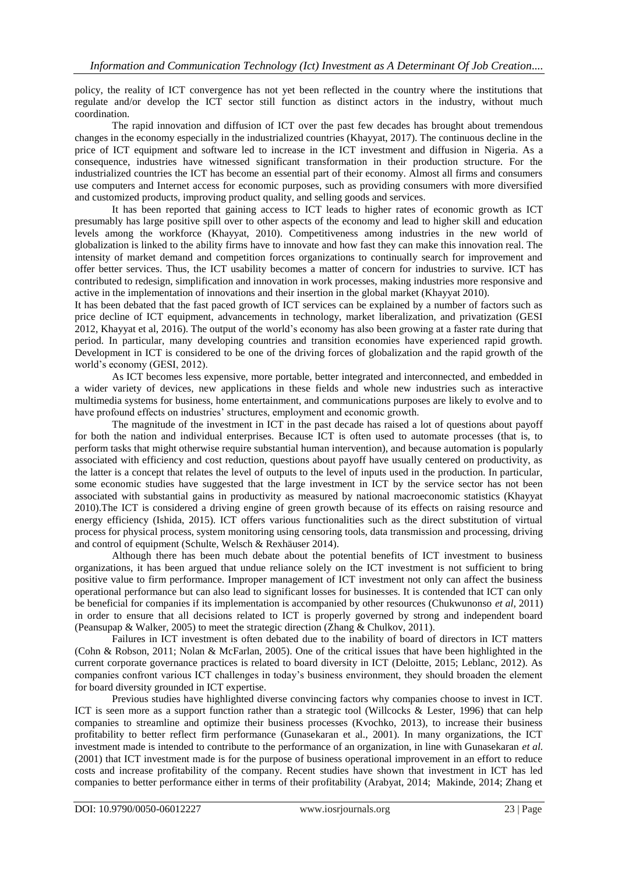policy, the reality of ICT convergence has not yet been reflected in the country where the institutions that regulate and/or develop the ICT sector still function as distinct actors in the industry, without much coordination.

The rapid innovation and diffusion of ICT over the past few decades has brought about tremendous changes in the economy especially in the industrialized countries (Khayyat, 2017). The continuous decline in the price of ICT equipment and software led to increase in the ICT investment and diffusion in Nigeria. As a consequence, industries have witnessed significant transformation in their production structure. For the industrialized countries the ICT has become an essential part of their economy. Almost all firms and consumers use computers and Internet access for economic purposes, such as providing consumers with more diversified and customized products, improving product quality, and selling goods and services.

It has been reported that gaining access to ICT leads to higher rates of economic growth as ICT presumably has large positive spill over to other aspects of the economy and lead to higher skill and education levels among the workforce (Khayyat, 2010). Competitiveness among industries in the new world of globalization is linked to the ability firms have to innovate and how fast they can make this innovation real. The intensity of market demand and competition forces organizations to continually search for improvement and offer better services. Thus, the ICT usability becomes a matter of concern for industries to survive. ICT has contributed to redesign, simplification and innovation in work processes, making industries more responsive and active in the implementation of innovations and their insertion in the global market (Khayyat 2010).

It has been debated that the fast paced growth of ICT services can be explained by a number of factors such as price decline of ICT equipment, advancements in technology, market liberalization, and privatization (GESI 2012, Khayyat et al, 2016). The output of the world's economy has also been growing at a faster rate during that period. In particular, many developing countries and transition economies have experienced rapid growth. Development in ICT is considered to be one of the driving forces of globalization and the rapid growth of the world's economy (GESI, 2012).

As ICT becomes less expensive, more portable, better integrated and interconnected, and embedded in a wider variety of devices, new applications in these fields and whole new industries such as interactive multimedia systems for business, home entertainment, and communications purposes are likely to evolve and to have profound effects on industries' structures, employment and economic growth.

The magnitude of the investment in ICT in the past decade has raised a lot of questions about payoff for both the nation and individual enterprises. Because ICT is often used to automate processes (that is, to perform tasks that might otherwise require substantial human intervention), and because automation is popularly associated with efficiency and cost reduction, questions about payoff have usually centered on productivity, as the latter is a concept that relates the level of outputs to the level of inputs used in the production. In particular, some economic studies have suggested that the large investment in ICT by the service sector has not been associated with substantial gains in productivity as measured by national macroeconomic statistics (Khayyat 2010).The ICT is considered a driving engine of green growth because of its effects on raising resource and energy efficiency (Ishida, 2015). ICT offers various functionalities such as the direct substitution of virtual process for physical process, system monitoring using censoring tools, data transmission and processing, driving and control of equipment (Schulte, Welsch & Rexhäuser 2014).

Although there has been much debate about the potential benefits of ICT investment to business organizations, it has been argued that undue reliance solely on the ICT investment is not sufficient to bring positive value to firm performance. Improper management of ICT investment not only can affect the business operational performance but can also lead to significant losses for businesses. It is contended that ICT can only be beneficial for companies if its implementation is accompanied by other resources (Chukwunonso *et al*, 2011) in order to ensure that all decisions related to ICT is properly governed by strong and independent board (Peansupap & Walker, 2005) to meet the strategic direction (Zhang & Chulkov, 2011).

Failures in ICT investment is often debated due to the inability of board of directors in ICT matters (Cohn & Robson, 2011; Nolan & McFarlan, 2005). One of the critical issues that have been highlighted in the current corporate governance practices is related to board diversity in ICT (Deloitte, 2015; Leblanc, 2012). As companies confront various ICT challenges in today's business environment, they should broaden the element for board diversity grounded in ICT expertise.

Previous studies have highlighted diverse convincing factors why companies choose to invest in ICT. ICT is seen more as a support function rather than a strategic tool (Willcocks & Lester, 1996) that can help companies to streamline and optimize their business processes (Kvochko, 2013), to increase their business profitability to better reflect firm performance (Gunasekaran et al., 2001). In many organizations, the ICT investment made is intended to contribute to the performance of an organization, in line with Gunasekaran *et al.* (2001) that ICT investment made is for the purpose of business operational improvement in an effort to reduce costs and increase profitability of the company. Recent studies have shown that investment in ICT has led companies to better performance either in terms of their profitability (Arabyat, 2014; Makinde, 2014; Zhang et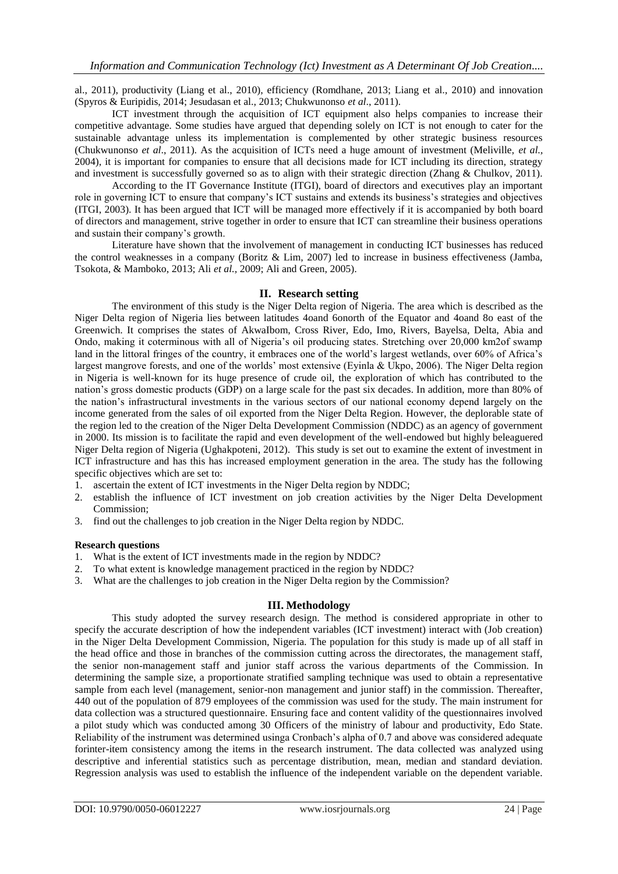al., 2011), productivity (Liang et al., 2010), efficiency (Romdhane, 2013; Liang et al., 2010) and innovation (Spyros & Euripidis, 2014; Jesudasan et al., 2013; Chukwunonso *et al*., 2011).

ICT investment through the acquisition of ICT equipment also helps companies to increase their competitive advantage. Some studies have argued that depending solely on ICT is not enough to cater for the sustainable advantage unless its implementation is complemented by other strategic business resources (Chukwunonso *et al*., 2011). As the acquisition of ICTs need a huge amount of investment (Meliville, *et al.,* 2004), it is important for companies to ensure that all decisions made for ICT including its direction, strategy and investment is successfully governed so as to align with their strategic direction (Zhang & Chulkov, 2011).

According to the IT Governance Institute (ITGI), board of directors and executives play an important role in governing ICT to ensure that company's ICT sustains and extends its business's strategies and objectives (ITGI, 2003). It has been argued that ICT will be managed more effectively if it is accompanied by both board of directors and management, strive together in order to ensure that ICT can streamline their business operations and sustain their company's growth.

Literature have shown that the involvement of management in conducting ICT businesses has reduced the control weaknesses in a company (Boritz & Lim, 2007) led to increase in business effectiveness (Jamba, Tsokota, & Mamboko, 2013; Ali *et al.,* 2009; Ali and Green, 2005).

## **II. Research setting**

The environment of this study is the Niger Delta region of Nigeria. The area which is described as the Niger Delta region of Nigeria lies between latitudes 4oand 6onorth of the Equator and 4oand 8o east of the Greenwich. It comprises the states of AkwaIbom, Cross River, Edo, Imo, Rivers, Bayelsa, Delta, Abia and Ondo, making it coterminous with all of Nigeria's oil producing states. Stretching over 20,000 km2of swamp land in the littoral fringes of the country, it embraces one of the world's largest wetlands, over 60% of Africa's largest mangrove forests, and one of the worlds' most extensive (Eyinla & Ukpo, 2006). The Niger Delta region in Nigeria is well-known for its huge presence of crude oil, the exploration of which has contributed to the nation's gross domestic products (GDP) on a large scale for the past six decades. In addition, more than 80% of the nation's infrastructural investments in the various sectors of our national economy depend largely on the income generated from the sales of oil exported from the Niger Delta Region. However, the deplorable state of the region led to the creation of the Niger Delta Development Commission (NDDC) as an agency of government in 2000. Its mission is to facilitate the rapid and even development of the well-endowed but highly beleaguered Niger Delta region of Nigeria (Ughakpoteni, 2012). This study is set out to examine the extent of investment in ICT infrastructure and has this has increased employment generation in the area. The study has the following specific objectives which are set to:

- 1. ascertain the extent of ICT investments in the Niger Delta region by NDDC;
- 2. establish the influence of ICT investment on job creation activities by the Niger Delta Development Commission;
- 3. find out the challenges to job creation in the Niger Delta region by NDDC.

## **Research questions**

- 1. What is the extent of ICT investments made in the region by NDDC?
- 2. To what extent is knowledge management practiced in the region by NDDC?
- 3. What are the challenges to job creation in the Niger Delta region by the Commission?

## **III. Methodology**

This study adopted the survey research design. The method is considered appropriate in other to specify the accurate description of how the independent variables (ICT investment) interact with (Job creation) in the Niger Delta Development Commission, Nigeria. The population for this study is made up of all staff in the head office and those in branches of the commission cutting across the directorates, the management staff, the senior non-management staff and junior staff across the various departments of the Commission. In determining the sample size, a proportionate stratified sampling technique was used to obtain a representative sample from each level (management, senior-non management and junior staff) in the commission. Thereafter, 440 out of the population of 879 employees of the commission was used for the study. The main instrument for data collection was a structured questionnaire. Ensuring face and content validity of the questionnaires involved a pilot study which was conducted among 30 Officers of the ministry of labour and productivity, Edo State. Reliability of the instrument was determined usinga Cronbach's alpha of 0.7 and above was considered adequate forinter-item consistency among the items in the research instrument. The data collected was analyzed using descriptive and inferential statistics such as percentage distribution, mean, median and standard deviation. Regression analysis was used to establish the influence of the independent variable on the dependent variable.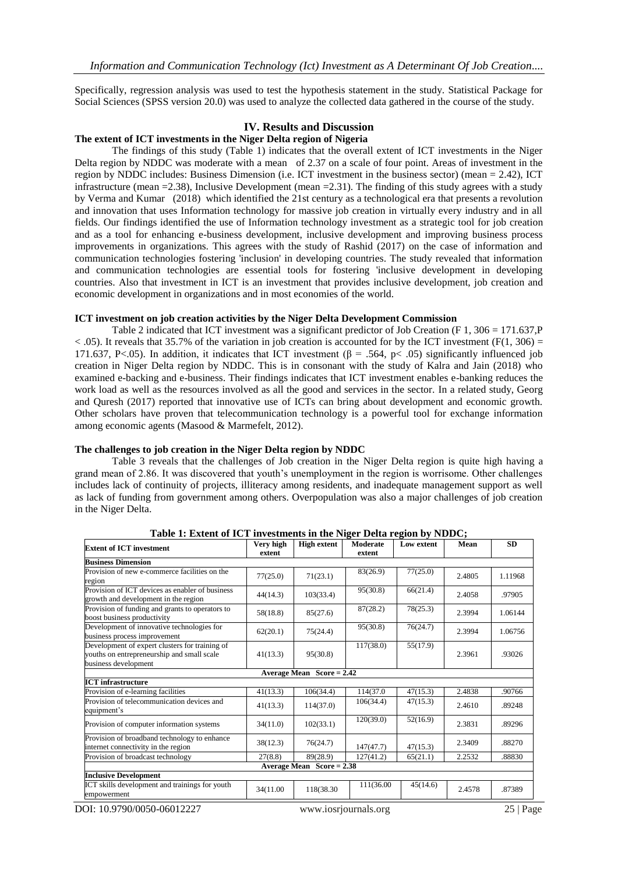Specifically, regression analysis was used to test the hypothesis statement in the study. Statistical Package for Social Sciences (SPSS version 20.0) was used to analyze the collected data gathered in the course of the study.

## **IV. Results and Discussion**

### **The extent of ICT investments in the Niger Delta region of Nigeria**

The findings of this study (Table 1) indicates that the overall extent of ICT investments in the Niger Delta region by NDDC was moderate with a mean of 2.37 on a scale of four point. Areas of investment in the region by NDDC includes: Business Dimension (i.e. ICT investment in the business sector) (mean = 2.42), ICT infrastructure (mean =2.38), Inclusive Development (mean =2.31). The finding of this study agrees with a study by Verma and Kumar (2018) which identified the 21st century as a technological era that presents a revolution and innovation that uses Information technology for massive job creation in virtually every industry and in all fields. Our findings identified the use of Information technology investment as a strategic tool for job creation and as a tool for enhancing e-business development, inclusive development and improving business process improvements in organizations. This agrees with the study of Rashid (2017) on the case of information and communication technologies fostering 'inclusion' in developing countries. The study revealed that information and communication technologies are essential tools for fostering 'inclusive development in developing countries. Also that investment in ICT is an investment that provides inclusive development, job creation and economic development in organizations and in most economies of the world.

#### **ICT investment on job creation activities by the Niger Delta Development Commission**

Table 2 indicated that ICT investment was a significant predictor of Job Creation (F 1, 306 = 171.637, P  $<$  0.05). It reveals that 35.7% of the variation in job creation is accounted for by the ICT investment (F(1, 306) = 171.637, P<.05). In addition, it indicates that ICT investment (β = .564, p < .05) significantly influenced job creation in Niger Delta region by NDDC. This is in consonant with the study of Kalra and Jain (2018) who examined e-backing and e-business. Their findings indicates that ICT investment enables e-banking reduces the work load as well as the resources involved as all the good and services in the sector. In a related study, Georg and Quresh (2017) reported that innovative use of ICTs can bring about development and economic growth. Other scholars have proven that telecommunication technology is a powerful tool for exchange information among economic agents (Masood & Marmefelt, 2012).

#### **The challenges to job creation in the Niger Delta region by NDDC**

Table 3 reveals that the challenges of Job creation in the Niger Delta region is quite high having a grand mean of 2.86. It was discovered that youth's unemployment in the region is worrisome. Other challenges includes lack of continuity of projects, illiteracy among residents, and inadequate management support as well as lack of funding from government among others. Overpopulation was also a major challenges of job creation in the Niger Delta.

| <b>Extent of ICT investment</b>                                                                                      | Very high<br>extent | <b>High extent</b> | Moderate<br>extent | <b>Low extent</b> | Mean   | <b>SD</b> |  |
|----------------------------------------------------------------------------------------------------------------------|---------------------|--------------------|--------------------|-------------------|--------|-----------|--|
| <b>Business Dimension</b>                                                                                            |                     |                    |                    |                   |        |           |  |
| Provision of new e-commerce facilities on the<br>region                                                              | 77(25.0)            | 71(23.1)           | 83(26.9)           | 77(25.0)          | 2.4805 | 1.11968   |  |
| Provision of ICT devices as enabler of business<br>growth and development in the region                              | 44(14.3)            | 103(33.4)          | 95(30.8)           | 66(21.4)          | 2.4058 | .97905    |  |
| Provision of funding and grants to operators to<br>boost business productivity                                       | 58(18.8)            | 85(27.6)           | 87(28.2)           | 78(25.3)          | 2.3994 | 1.06144   |  |
| Development of innovative technologies for<br>business process improvement                                           | 62(20.1)            | 75(24.4)           | 95(30.8)           | 76(24.7)          | 2.3994 | 1.06756   |  |
| Development of expert clusters for training of<br>youths on entrepreneurship and small scale<br>business development | 41(13.3)            | 95(30.8)           | 117(38.0)          | 55(17.9)          | 2.3961 | .93026    |  |
| Average Mean $Score = 2.42$                                                                                          |                     |                    |                    |                   |        |           |  |
| <b>ICT</b> infrastructure                                                                                            |                     |                    |                    |                   |        |           |  |
| Provision of e-learning facilities                                                                                   | 41(13.3)            | 106(34.4)          | 114(37.0)          | 47(15.3)          | 2.4838 | .90766    |  |
| Provision of telecommunication devices and<br>equipment's                                                            | 41(13.3)            | 114(37.0)          | 106(34.4)          | 47(15.3)          | 2.4610 | .89248    |  |
| Provision of computer information systems                                                                            | 34(11.0)            | 102(33.1)          | 120(39.0)          | 52(16.9)          | 2.3831 | .89296    |  |
| Provision of broadband technology to enhance<br>internet connectivity in the region                                  | 38(12.3)            | 76(24.7)           | 147(47.7)          | 47(15.3)          | 2.3409 | .88270    |  |
| Provision of broadcast technology                                                                                    | 27(8.8)             | 89(28.9)           | 127(41.2)          | 65(21.1)          | 2.2532 | .88830    |  |
| Average Mean $Score = 2.38$                                                                                          |                     |                    |                    |                   |        |           |  |
| <b>Inclusive Development</b>                                                                                         |                     |                    |                    |                   |        |           |  |
| ICT skills development and trainings for youth<br>empowerment                                                        | 34(11.00            | 118(38.30)         | 111(36.00          | 45(14.6)          | 2.4578 | .87389    |  |

**Table 1: Extent of ICT investments in the Niger Delta region by NDDC;**

DOI: 10.9790/0050-06012227 www.iosrjournals.org 25 | Page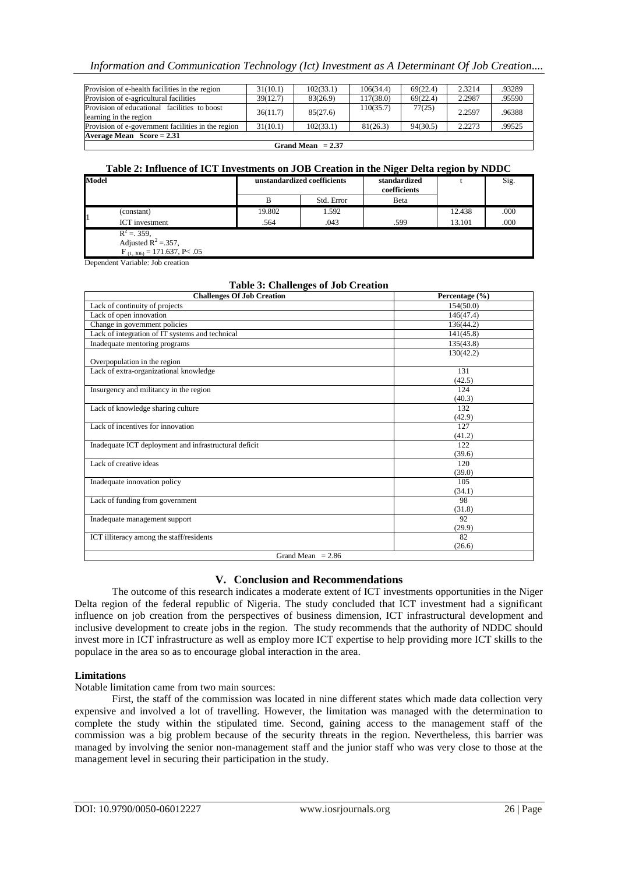## *Information and Communication Technology (Ict) Investment as A Determinant Of Job Creation....*

| Provision of e-health facilities in the region                         | 31(10.1) | 102(33.1) | 106(34.4) | 69(22.4) | 2.3214 | .93289 |  |
|------------------------------------------------------------------------|----------|-----------|-----------|----------|--------|--------|--|
| Provision of e-agricultural facilities                                 | 39(12.7) | 83(26.9)  | 117(38.0) | 69(22.4) | 2.2987 | .95590 |  |
| Provision of educational facilities to boost<br>learning in the region | 36(11.7) | 85(27.6)  | 110(35.7) | 77(25)   | 2.2597 | .96388 |  |
| Provision of e-government facilities in the region                     | 31(10.1) | 102(33.1) | 81(26.3)  | 94(30.5) | 2.2273 | .99525 |  |
| Average Mean $Score = 2.31$                                            |          |           |           |          |        |        |  |
| Grand Mean $= 2.37$                                                    |          |           |           |          |        |        |  |

#### **Table 2: Influence of ICT Investments on JOB Creation in the Niger Delta region by NDDC**

| Model |                                                                            | unstandardized coefficients |            | standardized<br>coefficients |        | Sig. |
|-------|----------------------------------------------------------------------------|-----------------------------|------------|------------------------------|--------|------|
|       |                                                                            | В                           | Std. Error | Beta                         |        |      |
|       | (constant)                                                                 | 19.802                      | 1.592      |                              | 12.438 | .000 |
|       | ICT investment                                                             | .564                        | .043       | .599                         | 13.101 | .000 |
|       | $R^2 = 359,$<br>Adjusted $R^2 = 357,$<br>$F_{(1, 306)} = 171.637, P < .05$ |                             |            |                              |        |      |

Dependent Variable: Job creation

## **Table 3: Challenges of Job Creation**

| Table of Chancing to the observation<br><b>Challenges Of Job Creation</b> | Percentage $(\% )$ |  |  |  |  |
|---------------------------------------------------------------------------|--------------------|--|--|--|--|
| Lack of continuity of projects                                            | 154(50.0)          |  |  |  |  |
| Lack of open innovation                                                   | 146(47.4)          |  |  |  |  |
| Change in government policies                                             | 136(44.2)          |  |  |  |  |
| Lack of integration of IT systems and technical                           | 141(45.8)          |  |  |  |  |
| Inadequate mentoring programs                                             | 135(43.8)          |  |  |  |  |
| Overpopulation in the region                                              | 130(42.2)          |  |  |  |  |
| Lack of extra-organizational knowledge                                    | 131                |  |  |  |  |
|                                                                           | (42.5)             |  |  |  |  |
| Insurgency and militancy in the region                                    | 124                |  |  |  |  |
|                                                                           | (40.3)             |  |  |  |  |
| Lack of knowledge sharing culture                                         | 132                |  |  |  |  |
|                                                                           | (42.9)             |  |  |  |  |
| Lack of incentives for innovation                                         | 127                |  |  |  |  |
|                                                                           | (41.2)             |  |  |  |  |
| Inadequate ICT deployment and infrastructural deficit                     | 122                |  |  |  |  |
|                                                                           | (39.6)             |  |  |  |  |
| Lack of creative ideas                                                    | 120                |  |  |  |  |
|                                                                           | (39.0)             |  |  |  |  |
| Inadequate innovation policy                                              | 105                |  |  |  |  |
|                                                                           | (34.1)             |  |  |  |  |
| Lack of funding from government                                           | 98                 |  |  |  |  |
|                                                                           | (31.8)             |  |  |  |  |
| Inadequate management support                                             | 92                 |  |  |  |  |
|                                                                           | (29.9)             |  |  |  |  |
| ICT illiteracy among the staff/residents                                  | 82                 |  |  |  |  |
|                                                                           | (26.6)             |  |  |  |  |
| Grand Mean $= 2.86$                                                       |                    |  |  |  |  |

## **V. Conclusion and Recommendations**

The outcome of this research indicates a moderate extent of ICT investments opportunities in the Niger Delta region of the federal republic of Nigeria. The study concluded that ICT investment had a significant influence on job creation from the perspectives of business dimension, ICT infrastructural development and inclusive development to create jobs in the region. The study recommends that the authority of NDDC should invest more in ICT infrastructure as well as employ more ICT expertise to help providing more ICT skills to the populace in the area so as to encourage global interaction in the area.

## **Limitations**

Notable limitation came from two main sources:

First, the staff of the commission was located in nine different states which made data collection very expensive and involved a lot of travelling. However, the limitation was managed with the determination to complete the study within the stipulated time. Second, gaining access to the management staff of the commission was a big problem because of the security threats in the region. Nevertheless, this barrier was managed by involving the senior non-management staff and the junior staff who was very close to those at the management level in securing their participation in the study.